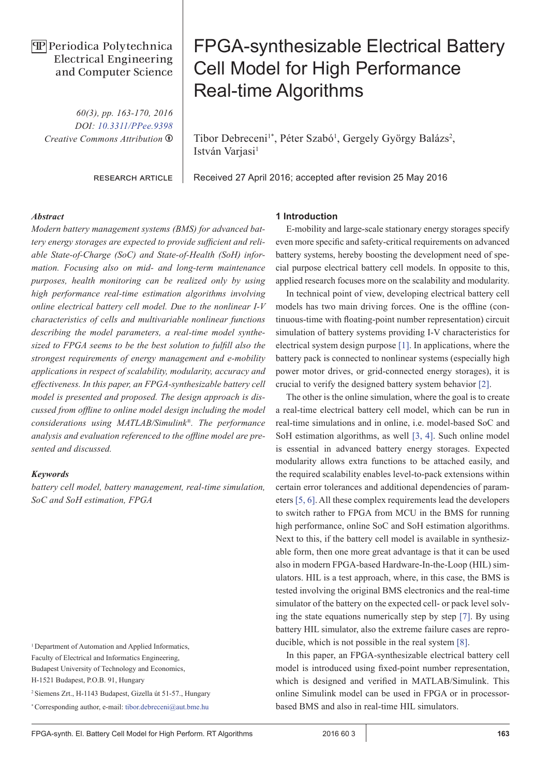# PPPeriodica Polytechnica Electrical Engineering and Computer Science

*60(3), pp. 163-170, 2016 DOI: [10.3311/PPee.9398](http://dx.doi.org/10.3311/PPee.9398) Creative Commons Attribution* b

research article

# FPGA-synthesizable Electrical Battery Cell Model for High Performance Real-time Algorithms

Tibor Debreceni<sup>1\*</sup>, Péter Szabó<sup>1</sup>, Gergely György Balázs<sup>2</sup>, István Varjasi<sup>1</sup>

Received 27 April 2016; accepted after revision 25 May 2016

#### *Abstract*

*Modern battery management systems (BMS) for advanced battery energy storages are expected to provide sufficient and reliable State-of-Charge (SoC) and State-of-Health (SoH) information. Focusing also on mid- and long-term maintenance purposes, health monitoring can be realized only by using high performance real-time estimation algorithms involving online electrical battery cell model. Due to the nonlinear I-V characteristics of cells and multivariable nonlinear functions describing the model parameters, a real-time model synthesized to FPGA seems to be the best solution to fulfill also the strongest requirements of energy management and e-mobility applications in respect of scalability, modularity, accuracy and effectiveness. In this paper, an FPGA-synthesizable battery cell model is presented and proposed. The design approach is discussed from offline to online model design including the model considerations using MATLAB/Simulink®. The performance analysis and evaluation referenced to the offline model are presented and discussed.*

#### *Keywords*

*battery cell model, battery management, real-time simulation, SoC and SoH estimation, FPGA*

<sup>1</sup> Department of Automation and Applied Informatics, Faculty of Electrical and Informatics Engineering, Budapest University of Technology and Economics, H-1521 Budapest, P.O.B. 91, Hungary <sup>2</sup>Siemens Zrt., H-1143 Budapest, Gizella út 51-57., Hungary **\*** Corresponding author, e-mail: tibor.debreceni@aut.bme.hu

## **1 Introduction**

E-mobility and large-scale stationary energy storages specify even more specific and safety-critical requirements on advanced battery systems, hereby boosting the development need of special purpose electrical battery cell models. In opposite to this, applied research focuses more on the scalability and modularity.

In technical point of view, developing electrical battery cell models has two main driving forces. One is the offline (continuous-time with floating-point number representation) circuit simulation of battery systems providing I-V characteristics for electrical system design purpose [\[1\]](#page-6-0). In applications, where the battery pack is connected to nonlinear systems (especially high power motor drives, or grid-connected energy storages), it is crucial to verify the designed battery system behavior [\[2\]](#page-6-1).

The other is the online simulation, where the goal is to create a real-time electrical battery cell model, which can be run in real-time simulations and in online, i.e. model-based SoC and SoH estimation algorithms, as well [\[3,](#page-6-2) [4\]](#page-6-3). Such online model is essential in advanced battery energy storages. Expected modularity allows extra functions to be attached easily, and the required scalability enables level-to-pack extensions within certain error tolerances and additional dependencies of parameters [\[5,](#page-7-0) [6\]](#page-7-1). All these complex requirements lead the developers to switch rather to FPGA from MCU in the BMS for running high performance, online SoC and SoH estimation algorithms. Next to this, if the battery cell model is available in synthesizable form, then one more great advantage is that it can be used also in modern FPGA-based Hardware-In-the-Loop (HIL) simulators. HIL is a test approach, where, in this case, the BMS is tested involving the original BMS electronics and the real-time simulator of the battery on the expected cell- or pack level solving the state equations numerically step by step [\[7\]](#page-7-2). By using battery HIL simulator, also the extreme failure cases are reproducible, which is not possible in the real system [\[8\]](#page-7-3).

In this paper, an FPGA-synthesizable electrical battery cell model is introduced using fixed-point number representation, which is designed and verified in MATLAB/Simulink. This online Simulink model can be used in FPGA or in processorbased BMS and also in real-time HIL simulators.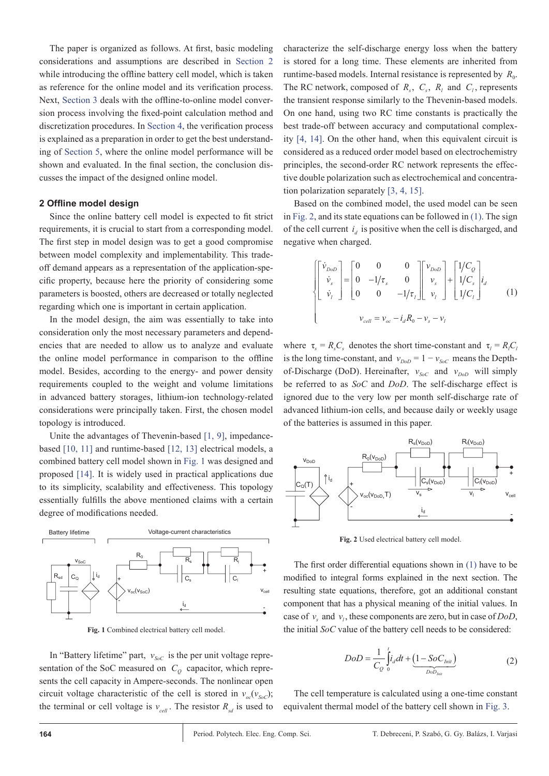The paper is organized as follows. At first, basic modeling considerations and assumptions are described in [Section 2](#page-1-0) while introducing the offline battery cell model, which is taken as reference for the online model and its verification process. Next, [Section 3](#page-2-0) deals with the offline-to-online model conversion process involving the fixed-point calculation method and discretization procedures. In [Section 4](#page-3-0), the verification process is explained as a preparation in order to get the best understanding of [Section 5](#page-4-0), where the online model performance will be shown and evaluated. In the final section, the conclusion discusses the impact of the designed online model.

#### <span id="page-1-0"></span>**2 Offline model design**

Since the online battery cell model is expected to fit strict requirements, it is crucial to start from a corresponding model. The first step in model design was to get a good compromise between model complexity and implementability. This tradeoff demand appears as a representation of the application-specific property, because here the priority of considering some parameters is boosted, others are decreased or totally neglected regarding which one is important in certain application.

In the model design, the aim was essentially to take into consideration only the most necessary parameters and dependencies that are needed to allow us to analyze and evaluate the online model performance in comparison to the offline model. Besides, according to the energy- and power density requirements coupled to the weight and volume limitations in advanced battery storages, lithium-ion technology-related considerations were principally taken. First, the chosen model topology is introduced.

Unite the advantages of Thevenin-based [\[1,](#page-6-0) [9\]](#page-7-4), impedancebased [\[10,](#page-7-5) [11\]](#page-7-6) and runtime-based [\[12](#page-7-7), [13\]](#page-7-8) electrical models, a combined battery cell model shown in [Fig. 1](#page-1-1) was designed and proposed [\[14\]](#page-7-9). It is widely used in practical applications due to its simplicity, scalability and effectiveness. This topology essentially fulfills the above mentioned claims with a certain degree of modifications needed.

<span id="page-1-1"></span>

**Fig. 1** Combined electrical battery cell model.

In "Battery lifetime" part,  $v_{Soc}$  is the per unit voltage representation of the SoC measured on  $C<sub>O</sub>$  capacitor, which represents the cell capacity in Ampere-seconds. The nonlinear open circuit voltage characteristic of the cell is stored in  $v_{oc}(v_{Soc})$ ; the terminal or cell voltage is  $v_{cell}$ . The resistor  $R_{sd}$  is used to characterize the self-discharge energy loss when the battery is stored for a long time. These elements are inherited from runtime-based models. Internal resistance is represented by  $R_0$ . The RC network, composed of  $R_s$ ,  $C_s$ ,  $R_l$  and  $C_l$ , represents the transient response similarly to the Thevenin-based models. On one hand, using two RC time constants is practically the best trade-off between accuracy and computational complexity [\[4](#page-6-3), [14\]](#page-7-9). On the other hand, when this equivalent circuit is considered as a reduced order model based on electrochemistry principles, the second-order RC network represents the effective double polarization such as electrochemical and concentration polarization separately [[3,](#page-6-2) [4,](#page-6-3) [15](#page-7-10)].

Based on the combined model, the used model can be seen in [Fig. 2,](#page-1-2) and its state equations can be followed in [\(1\)](#page-1-3). The sign of the cell current  $i_d$  is positive when the cell is discharged, and negative when charged.

<span id="page-1-3"></span>
$$
\begin{bmatrix}\n\dot{v}_{DoD} \\
\dot{v}_s \\
\dot{v}_t\n\end{bmatrix} =\n\begin{bmatrix}\n0 & 0 & 0 \\
0 & -1/\tau_s & 0 \\
0 & 0 & -1/\tau_t\n\end{bmatrix}\n\begin{bmatrix}\nv_{DoD} \\
v_s \\
v_t\n\end{bmatrix} +\n\begin{bmatrix}\n1/C_Q \\
1/C_s \\
1/C_t\n\end{bmatrix} i_d\n\begin{bmatrix}\n\dot{v}_s \\
\dot{v}_t\n\end{bmatrix} +\n\begin{bmatrix}\n0 & 0 & 0 \\
0 & -1/\tau_s \\
0 & 0 & -1/\tau_t\n\end{bmatrix}\n\begin{bmatrix}\n0 & 0 & 0 \\
0 & v_s\n\end{bmatrix} +\n\begin{bmatrix}\n0 & 0 & 0 \\
0 & 0 & -1/\tau_s\n\end{bmatrix} i_d\n\begin{bmatrix}\n0 & 0 & 0 \\
0 & 0 & -1/\tau_s\n\end{bmatrix} \tag{1}
$$

where  $\tau_s = R_s C_s$  denotes the short time-constant and  $\tau_l = R_l C_l$ is the long time-constant, and  $v_{DoD} = 1 - v_{SoC}$  means the Depthof-Discharge (DoD). Hereinafter,  $v_{S_0C}$  and  $v_{DoD}$  will simply be referred to as *SoC* and *DoD*. The self-discharge effect is ignored due to the very low per month self-discharge rate of advanced lithium-ion cells, and because daily or weekly usage of the batteries is assumed in this paper.

<span id="page-1-2"></span>

**Fig. 2** Used electrical battery cell model.

The first order differential equations shown in [\(1\)](#page-1-3) have to be modified to integral forms explained in the next section. The resulting state equations, therefore, got an additional constant component that has a physical meaning of the initial values. In case of  $v_s$  and  $v_l$ , these components are zero, but in case of *DoD*, the initial *SoC* value of the battery cell needs to be considered:

$$
DoD = \frac{1}{C_Q} \int_0^t i_d dt + \underbrace{(1 - SoC_{Init})}_{DoD_{Init}} \tag{2}
$$

<span id="page-1-4"></span>The cell temperature is calculated using a one-time constant equivalent thermal model of the battery cell shown in [Fig. 3](#page-2-1).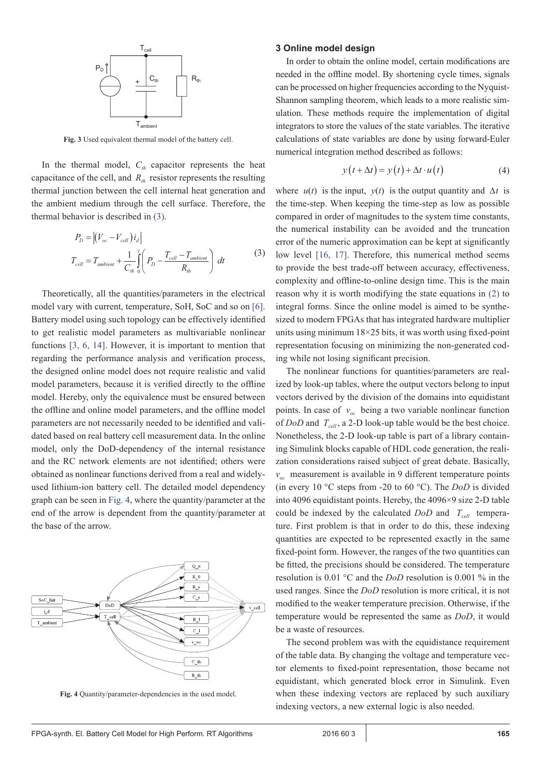

<span id="page-2-1"></span>**Fig. 3** Used equivalent thermal model of the battery cell.

In the thermal model,  $C<sub>th</sub>$  capacitor represents the heat capacitance of the cell, and  $R<sub>th</sub>$  resistor represents the resulting thermal junction between the cell internal heat generation and the ambient medium through the cell surface. Therefore, the thermal behavior is described in [\(3\)](#page-2-2).

<span id="page-2-2"></span>
$$
P_{D} = |(V_{oc} - V_{cell}) i_{d}|
$$
  
\n
$$
T_{cell} = T_{ambient} + \frac{1}{C_{th}} \int_{0}^{t} \left( P_{D} - \frac{T_{cell} - T_{ambient}}{R_{th}} \right) dt
$$
 (3)

Theoretically, all the quantities/parameters in the electrical model vary with current, temperature, SoH, SoC and so on [\[6\]](#page-7-1). Battery model using such topology can be effectively identified to get realistic model parameters as multivariable nonlinear functions [\[3,](#page-6-2) [6,](#page-7-1) [14\]](#page-7-9). However, it is important to mention that regarding the performance analysis and verification process, the designed online model does not require realistic and valid model parameters, because it is verified directly to the offline model. Hereby, only the equivalence must be ensured between the offline and online model parameters, and the offline model parameters are not necessarily needed to be identified and validated based on real battery cell measurement data. In the online model, only the DoD-dependency of the internal resistance and the RC network elements are not identified; others were obtained as nonlinear functions derived from a real and widelyused lithium-ion battery cell. The detailed model dependency graph can be seen in [Fig. 4,](#page-2-3) where the quantity/parameter at the end of the arrow is dependent from the quantity/parameter at the base of the arrow.

<span id="page-2-3"></span>

**Fig. 4** Quantity/parameter-dependencies in the used model.

# <span id="page-2-0"></span>**3 Online model design**

In order to obtain the online model, certain modifications are needed in the offline model. By shortening cycle times, signals can be processed on higher frequencies according to the Nyquist-Shannon sampling theorem, which leads to a more realistic simulation. These methods require the implementation of digital integrators to store the values of the state variables. The iterative calculations of state variables are done by using forward-Euler numerical integration method described as follows:

$$
y(t + \Delta t) = y(t) + \Delta t \cdot u(t)
$$
 (4)

where  $u(t)$  is the input,  $y(t)$  is the output quantity and  $\Delta t$  is the time-step. When keeping the time-step as low as possible compared in order of magnitudes to the system time constants, the numerical instability can be avoided and the truncation error of the numeric approximation can be kept at significantly low level [\[16](#page-7-11), [17\]](#page-7-12). Therefore, this numerical method seems to provide the best trade-off between accuracy, effectiveness, complexity and offline-to-online design time. This is the main reason why it is worth modifying the state equations in [\(2\)](#page-1-4) to integral forms. Since the online model is aimed to be synthesized to modern FPGAs that has integrated hardware multiplier units using minimum 18×25 bits, it was worth using fixed-point representation focusing on minimizing the non-generated coding while not losing significant precision.

The nonlinear functions for quantities/parameters are realized by look-up tables, where the output vectors belong to input vectors derived by the division of the domains into equidistant points. In case of  $v_{oc}$  being a two variable nonlinear function of *DoD* and  $T_{cell}$ , a 2-D look-up table would be the best choice. Nonetheless, the 2-D look-up table is part of a library containing Simulink blocks capable of HDL code generation, the realization considerations raised subject of great debate. Basically,  $v_{oc}$  measurement is available in 9 different temperature points (in every 10 °C steps from -20 to 60 °C). The *DoD* is divided into 4096 equidistant points. Hereby, the 4096×9 size 2-D table could be indexed by the calculated  $DoD$  and  $T_{cell}$  temperature. First problem is that in order to do this, these indexing quantities are expected to be represented exactly in the same fixed-point form. However, the ranges of the two quantities can be fitted, the precisions should be considered. The temperature resolution is 0.01 °C and the *DoD* resolution is 0.001 % in the used ranges. Since the *DoD* resolution is more critical, it is not modified to the weaker temperature precision. Otherwise, if the temperature would be represented the same as *DoD*, it would be a waste of resources.

The second problem was with the equidistance requirement of the table data. By changing the voltage and temperature vector elements to fixed-point representation, those became not equidistant, which generated block error in Simulink. Even when these indexing vectors are replaced by such auxiliary indexing vectors, a new external logic is also needed.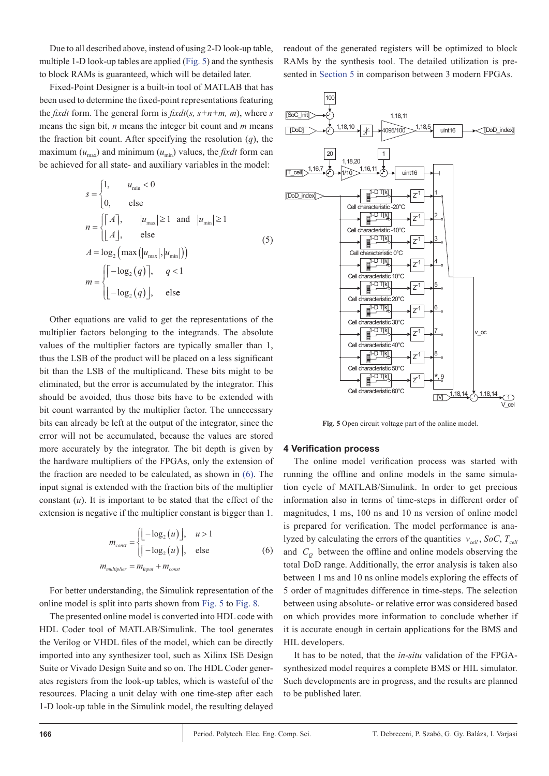Due to all described above, instead of using 2-D look-up table, multiple 1-D look-up tables are applied [\(Fig. 5](#page-3-1)) and the synthesis to block RAMs is guaranteed, which will be detailed later.

Fixed-Point Designer is a built-in tool of MATLAB that has been used to determine the fixed-point representations featuring the *fixdt* form. The general form is *fixdt*(*s, s+n+m, m*), where *s*  means the sign bit, *n* means the integer bit count and *m* means the fraction bit count. After specifying the resolution (*q*), the maximum  $(u_{\text{max}})$  and minimum  $(u_{\text{min}})$  values, the *fixdt* form can be achieved for all state- and auxiliary variables in the model:

$$
s = \begin{cases} 1, & u_{\min} < 0 \\ 0, & \text{else} \end{cases}
$$
  
\n
$$
n = \begin{cases} \lceil A \rceil, & |u_{\max}| \ge 1 \text{ and } |u_{\min}| \ge 1 \\ \lfloor A \rfloor, & \text{else} \end{cases}
$$
  
\n
$$
A = \log_2 \left( \max \left( |u_{\max}|, |u_{\min}| \right) \right)
$$
  
\n
$$
m = \begin{cases} \lceil -\log_2(q) \rceil, & q < 1 \\ \lfloor -\log_2(q) \rfloor, & \text{else} \end{cases}
$$
  
\n(5)

Other equations are valid to get the representations of the multiplier factors belonging to the integrands. The absolute values of the multiplier factors are typically smaller than 1, thus the LSB of the product will be placed on a less significant bit than the LSB of the multiplicand. These bits might to be eliminated, but the error is accumulated by the integrator. This should be avoided, thus those bits have to be extended with bit count warranted by the multiplier factor. The unnecessary bits can already be left at the output of the integrator, since the error will not be accumulated, because the values are stored more accurately by the integrator. The bit depth is given by the hardware multipliers of the FPGAs, only the extension of the fraction are needed to be calculated, as shown in [\(6\).](#page-3-2) The input signal is extended with the fraction bits of the multiplier constant  $(u)$ . It is important to be stated that the effect of the extension is negative if the multiplier constant is bigger than 1.

<span id="page-3-2"></span>
$$
m_{const} = \begin{cases} \left[ -\log_2(u) \right], & u > 1\\ \left[ -\log_2(u) \right], & \text{else} \end{cases}
$$
  
\n
$$
m_{multiplier} = m_{input} + m_{const}
$$
 (6)

For better understanding, the Simulink representation of the online model is split into parts shown from [Fig. 5](#page-3-1) to [Fig. 8](#page-4-1).

The presented online model is converted into HDL code with HDL Coder tool of MATLAB/Simulink. The tool generates the Verilog or VHDL files of the model, which can be directly imported into any synthesizer tool, such as Xilinx ISE Design Suite or Vivado Design Suite and so on. The HDL Coder generates registers from the look-up tables, which is wasteful of the resources. Placing a unit delay with one time-step after each 1-D look-up table in the Simulink model, the resulting delayed

readout of the generated registers will be optimized to block RAMs by the synthesis tool. The detailed utilization is presented in [Section 5](#page-4-0) in comparison between 3 modern FPGAs.

<span id="page-3-1"></span>

**Fig. 5** Open circuit voltage part of the online model.

#### <span id="page-3-0"></span>**4 Verification process**

The online model verification process was started with running the offline and online models in the same simulation cycle of MATLAB/Simulink. In order to get precious information also in terms of time-steps in different order of magnitudes, 1 ms, 100 ns and 10 ns version of online model is prepared for verification. The model performance is analyzed by calculating the errors of the quantities  $v_{cell}$ , *SoC*,  $T_{cell}$ and  $C<sub>Q</sub>$  between the offline and online models observing the total DoD range. Additionally, the error analysis is taken also between 1 ms and 10 ns online models exploring the effects of 5 order of magnitudes difference in time-steps. The selection between using absolute- or relative error was considered based on which provides more information to conclude whether if it is accurate enough in certain applications for the BMS and HIL developers.

It has to be noted, that the *in-situ* validation of the FPGAsynthesized model requires a complete BMS or HIL simulator. Such developments are in progress, and the results are planned to be published later.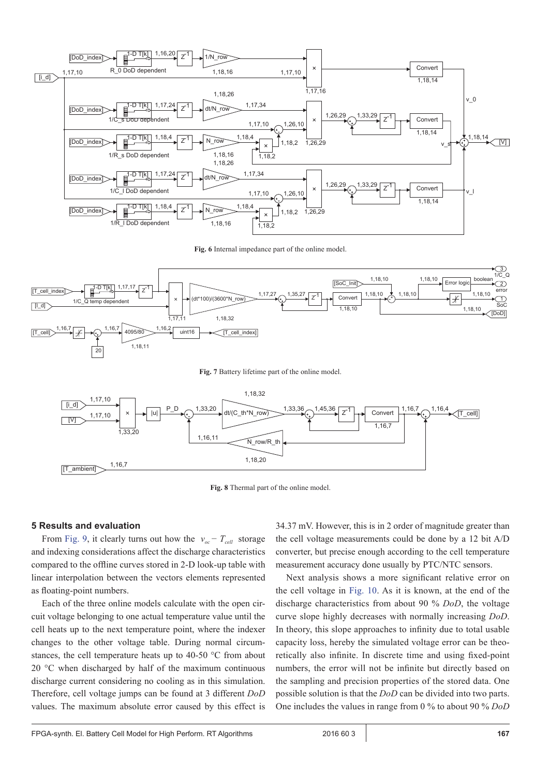

**Fig. 6** Internal impedance part of the online model.



**Fig. 7** Battery lifetime part of the online model.

<span id="page-4-1"></span>

**Fig. 8** Thermal part of the online model.

# <span id="page-4-0"></span>**5 Results and evaluation**

From [Fig. 9](#page-5-0), it clearly turns out how the  $v_{cc} - T_{cell}$  storage and indexing considerations affect the discharge characteristics compared to the offline curves stored in 2-D look-up table with linear interpolation between the vectors elements represented as floating-point numbers.

Each of the three online models calculate with the open circuit voltage belonging to one actual temperature value until the cell heats up to the next temperature point, where the indexer changes to the other voltage table. During normal circumstances, the cell temperature heats up to 40-50 °C from about 20 °C when discharged by half of the maximum continuous discharge current considering no cooling as in this simulation. Therefore, cell voltage jumps can be found at 3 different *DoD* values. The maximum absolute error caused by this effect is 34.37 mV. However, this is in 2 order of magnitude greater than the cell voltage measurements could be done by a 12 bit A/D converter, but precise enough according to the cell temperature measurement accuracy done usually by PTC/NTC sensors.

Next analysis shows a more significant relative error on the cell voltage in [Fig. 10.](#page-5-1) As it is known, at the end of the discharge characteristics from about 90 % *DoD*, the voltage curve slope highly decreases with normally increasing *DoD*. In theory, this slope approaches to infinity due to total usable capacity loss, hereby the simulated voltage error can be theoretically also infinite. In discrete time and using fixed-point numbers, the error will not be infinite but directly based on the sampling and precision properties of the stored data. One possible solution is that the *DoD* can be divided into two parts. One includes the values in range from 0 % to about 90 % *DoD*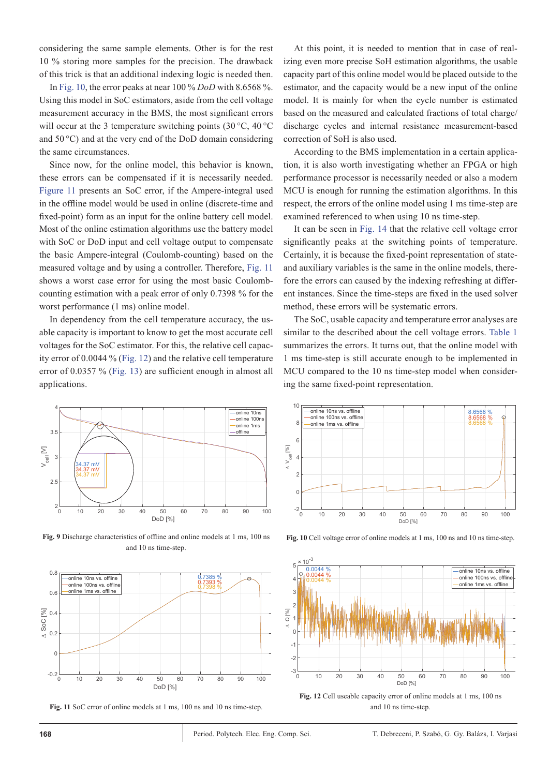considering the same sample elements. Other is for the rest 10 % storing more samples for the precision. The drawback of this trick is that an additional indexing logic is needed then.

In [Fig. 10](#page-5-1), the error peaks at near 100 % *DoD* with 8.6568 %. Using this model in SoC estimators, aside from the cell voltage measurement accuracy in the BMS, the most significant errors will occur at the 3 temperature switching points (30 °C, 40 °C and 50 °C) and at the very end of the DoD domain considering the same circumstances.

Since now, for the online model, this behavior is known, these errors can be compensated if it is necessarily needed. [Figure 11](#page-5-2) presents an SoC error, if the Ampere-integral used in the offline model would be used in online (discrete-time and fixed-point) form as an input for the online battery cell model. Most of the online estimation algorithms use the battery model with SoC or DoD input and cell voltage output to compensate the basic Ampere-integral (Coulomb-counting) based on the measured voltage and by using a controller. Therefore, [Fig. 11](#page-5-2) shows a worst case error for using the most basic Coulombcounting estimation with a peak error of only 0.7398 % for the worst performance (1 ms) online model.

In dependency from the cell temperature accuracy, the usable capacity is important to know to get the most accurate cell voltages for the SoC estimator. For this, the relative cell capacity error of 0.0044 % [\(Fig. 12\)](#page-5-3) and the relative cell temperature error of 0.0357 % ([Fig. 13\)](#page-6-0) are sufficient enough in almost all applications.

At this point, it is needed to mention that in case of realizing even more precise SoH estimation algorithms, the usable capacity part of this online model would be placed outside to the estimator, and the capacity would be a new input of the online model. It is mainly for when the cycle number is estimated based on the measured and calculated fractions of total charge/ discharge cycles and internal resistance measurement-based correction of SoH is also used.

According to the BMS implementation in a certain application, it is also worth investigating whether an FPGA or high performance processor is necessarily needed or also a modern MCU is enough for running the estimation algorithms. In this respect, the errors of the online model using 1 ms time-step are examined referenced to when using 10 ns time-step.

It can be seen in [Fig. 14](#page-6-4) that the relative cell voltage error significantly peaks at the switching points of temperature. Certainly, it is because the fixed-point representation of stateand auxiliary variables is the same in the online models, therefore the errors can caused by the indexing refreshing at different instances. Since the time-steps are fixed in the used solver method, these errors will be systematic errors.

The SoC, usable capacity and temperature error analyses are similar to the described about the cell voltage errors. [Table](#page-6-5) 1 summarizes the errors. It turns out, that the online model with 1 ms time-step is still accurate enough to be implemented in MCU compared to the 10 ns time-step model when considering the same fixed-point representation.



<span id="page-5-0"></span>**Fig. 9** Discharge characteristics of offline and online models at 1 ms, 100 ns and 10 ns time-step.

<span id="page-5-2"></span>

**Fig. 11** SoC error of online models at 1 ms, 100 ns and 10 ns time-step.



<span id="page-5-3"></span>

**Fig. 12** Cell useable capacity error of online models at 1 ms, 100 ns and 10 ns time-step.

<span id="page-5-1"></span>**Fig. 10** Cell voltage error of online models at 1 ms, 100 ns and 10 ns time-step.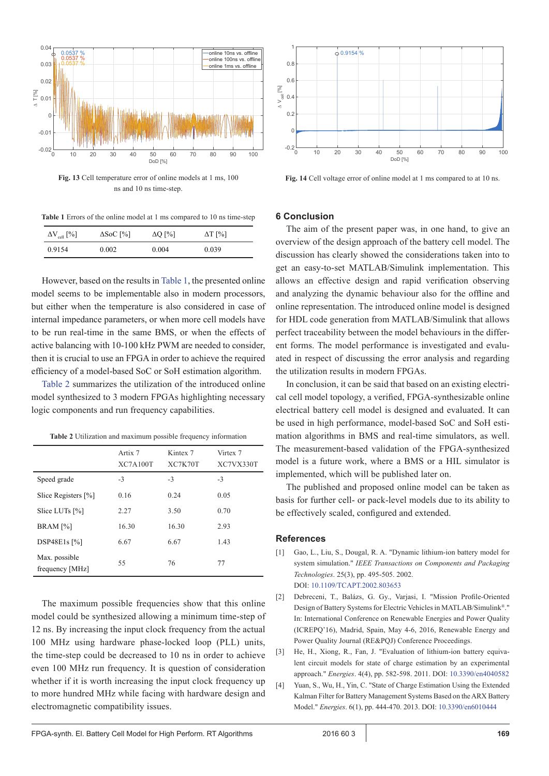<span id="page-6-0"></span>

**Fig. 13** Cell temperature error of online models at 1 ms, 100 ns and 10 ns time-step.

<span id="page-6-5"></span>**Table 1** Errors of the online model at 1 ms compared to 10 ns time-step

| $\Delta V_{cell}$ [%] | $\Delta$ SoC $\lceil\% \rceil$ | $\Delta Q$ [%] | $\Delta T$ [%] |
|-----------------------|--------------------------------|----------------|----------------|
| 0.9154                | 0.002                          | 0.004          | 0.039          |

However, based on the results in [Table 1,](#page-6-5) the presented online model seems to be implementable also in modern processors, but either when the temperature is also considered in case of internal impedance parameters, or when more cell models have to be run real-time in the same BMS, or when the effects of active balancing with 10-100 kHz PWM are needed to consider, then it is crucial to use an FPGA in order to achieve the required efficiency of a model-based SoC or SoH estimation algorithm.

[Table 2](#page-6-6) summarizes the utilization of the introduced online model synthesized to 3 modern FPGAs highlighting necessary logic components and run frequency capabilities.

<span id="page-6-6"></span>**Table 2** Utilization and maximum possible frequency information

|                                  | Artix 7<br>XC7A100T | Kintex 7<br>XC7K70T | Virtex 7<br>XC7VX330T |
|----------------------------------|---------------------|---------------------|-----------------------|
| Speed grade                      | $-3$                | $-3$                | $-3$                  |
| Slice Registers [%]              | 0.16                | 0.24                | 0.05                  |
| Slice LUTs [%]                   | 2.27                | 3.50                | 0.70                  |
| BRAM [%]                         | 16.30               | 16.30               | 2.93                  |
| $DSP48E1s$ [%]                   | 6.67                | 6.67                | 1.43                  |
| Max. possible<br>frequency [MHz] | 55                  | 76                  | 77                    |

The maximum possible frequencies show that this online model could be synthesized allowing a minimum time-step of 12 ns. By increasing the input clock frequency from the actual 100 MHz using hardware phase-locked loop (PLL) units, the time-step could be decreased to 10 ns in order to achieve even 100 MHz run frequency. It is question of consideration whether if it is worth increasing the input clock frequency up to more hundred MHz while facing with hardware design and electromagnetic compatibility issues.

<span id="page-6-4"></span>

**Fig. 14** Cell voltage error of online model at 1 ms compared to at 10 ns.

## **6 Conclusion**

The aim of the present paper was, in one hand, to give an overview of the design approach of the battery cell model. The discussion has clearly showed the considerations taken into to get an easy-to-set MATLAB/Simulink implementation. This allows an effective design and rapid verification observing and analyzing the dynamic behaviour also for the offline and online representation. The introduced online model is designed for HDL code generation from MATLAB/Simulink that allows perfect traceability between the model behaviours in the different forms. The model performance is investigated and evaluated in respect of discussing the error analysis and regarding the utilization results in modern FPGAs.

In conclusion, it can be said that based on an existing electrical cell model topology, a verified, FPGA-synthesizable online electrical battery cell model is designed and evaluated. It can be used in high performance, model-based SoC and SoH estimation algorithms in BMS and real-time simulators, as well. The measurement-based validation of the FPGA-synthesized model is a future work, where a BMS or a HIL simulator is implemented, which will be published later on.

The published and proposed online model can be taken as basis for further cell- or pack-level models due to its ability to be effectively scaled, configured and extended.

# **References**

- [1] Gao, L., Liu, S., Dougal, R. A. "Dynamic lithium-ion battery model for system simulation." *IEEE Transactions on Components and Packaging Technologies*. 25(3), pp. 495-505. 2002. DOI: [10.1109/TCAPT.2002.803653](http://dx.doi.org/10.1109/TCAPT.2002.803653)
- <span id="page-6-1"></span>[2] Debreceni, T., Balázs, G. Gy., Varjasi, I. "Mission Profile-Oriented Design of Battery Systems for Electric Vehicles in MATLAB/Simulink®." In: International Conference on Renewable Energies and Power Quality (ICREPQ'16), Madrid, Spain, May 4-6, 2016, Renewable Energy and Power Quality Journal (RE&PQJ) Conference Proceedings.
- <span id="page-6-2"></span>[3] He, H., Xiong, R., Fan, J. "Evaluation of lithium-ion battery equivalent circuit models for state of charge estimation by an experimental approach." *Energies*. 4(4), pp. 582-598. 2011. DOI: [10.3390/en4040582](http://dx.doi.org/10.3390/en4040582)
- <span id="page-6-3"></span>[4] Yuan, S., Wu, H., Yin, C. "State of Charge Estimation Using the Extended Kalman Filter for Battery Management Systems Based on the ARX Battery Model." *Energies*. 6(1), pp. 444-470. 2013. DOI: [10.3390/en6010444](http://dx.doi.org/10.3390/en6010444)